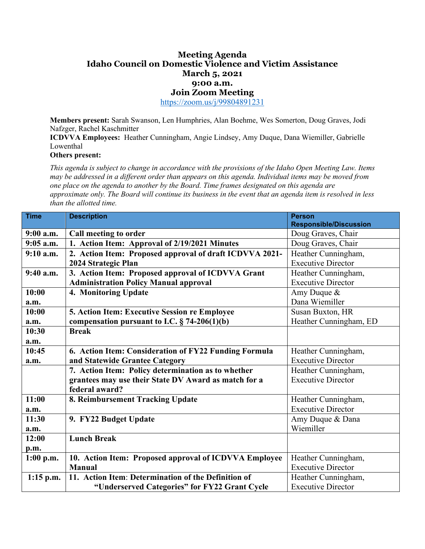## **Meeting Agenda Idaho Council on Domestic Violence and Victim Assistance March 5, 2021 9:00 a.m. Join Zoom Meeting**

<https://zoom.us/j/99804891231>

**Members present:** Sarah Swanson, Len Humphries, Alan Boehme, Wes Somerton, Doug Graves, Jodi Nafzger, Rachel Kaschmitter

**ICDVVA Employees:** Heather Cunningham, Angie Lindsey, Amy Duque, Dana Wiemiller, Gabrielle Lowenthal

**Others present:** 

*This agenda is subject to change in accordance with the provisions of the Idaho Open Meeting Law. Items may be addressed in a different order than appears on this agenda. Individual items may be moved from one place on the agenda to another by the Board. Time frames designated on this agenda are approximate only. The Board will continue its business in the event that an agenda item is resolved in less than the allotted time.* 

| <b>Time</b> | <b>Description</b>                                      | <b>Person</b>                 |
|-------------|---------------------------------------------------------|-------------------------------|
|             |                                                         | <b>Responsible/Discussion</b> |
| 9:00 a.m.   | Call meeting to order                                   | Doug Graves, Chair            |
| $9:05$ a.m. | 1. Action Item: Approval of 2/19/2021 Minutes           | Doug Graves, Chair            |
| $9:10$ a.m. | 2. Action Item: Proposed approval of draft ICDVVA 2021- | Heather Cunningham,           |
|             | 2024 Strategic Plan                                     | <b>Executive Director</b>     |
| 9:40 a.m.   | 3. Action Item: Proposed approval of ICDVVA Grant       | Heather Cunningham,           |
|             | <b>Administration Policy Manual approval</b>            | <b>Executive Director</b>     |
| 10:00       | 4. Monitoring Update                                    | Amy Duque &                   |
| a.m.        |                                                         | Dana Wiemiller                |
| 10:00       | 5. Action Item: Executive Session re Employee           | Susan Buxton, HR              |
| a.m.        | compensation pursuant to I.C. $\S$ 74-206(1)(b)         | Heather Cunningham, ED        |
| 10:30       | <b>Break</b>                                            |                               |
| a.m.        |                                                         |                               |
| 10:45       | 6. Action Item: Consideration of FY22 Funding Formula   | Heather Cunningham,           |
| a.m.        | and Statewide Grantee Category                          | <b>Executive Director</b>     |
|             | 7. Action Item: Policy determination as to whether      | Heather Cunningham,           |
|             | grantees may use their State DV Award as match for a    | <b>Executive Director</b>     |
|             | federal award?                                          |                               |
| 11:00       | 8. Reimbursement Tracking Update                        | Heather Cunningham,           |
| a.m.        |                                                         | <b>Executive Director</b>     |
| 11:30       | 9. FY22 Budget Update                                   | Amy Duque & Dana              |
| a.m.        |                                                         | Wiemiller                     |
| 12:00       | <b>Lunch Break</b>                                      |                               |
| p.m.        |                                                         |                               |
| $1:00$ p.m. | 10. Action Item: Proposed approval of ICDVVA Employee   | Heather Cunningham,           |
|             | <b>Manual</b>                                           | <b>Executive Director</b>     |
| $1:15$ p.m. | 11. Action Item: Determination of the Definition of     | Heather Cunningham,           |
|             | "Underserved Categories" for FY22 Grant Cycle           | <b>Executive Director</b>     |